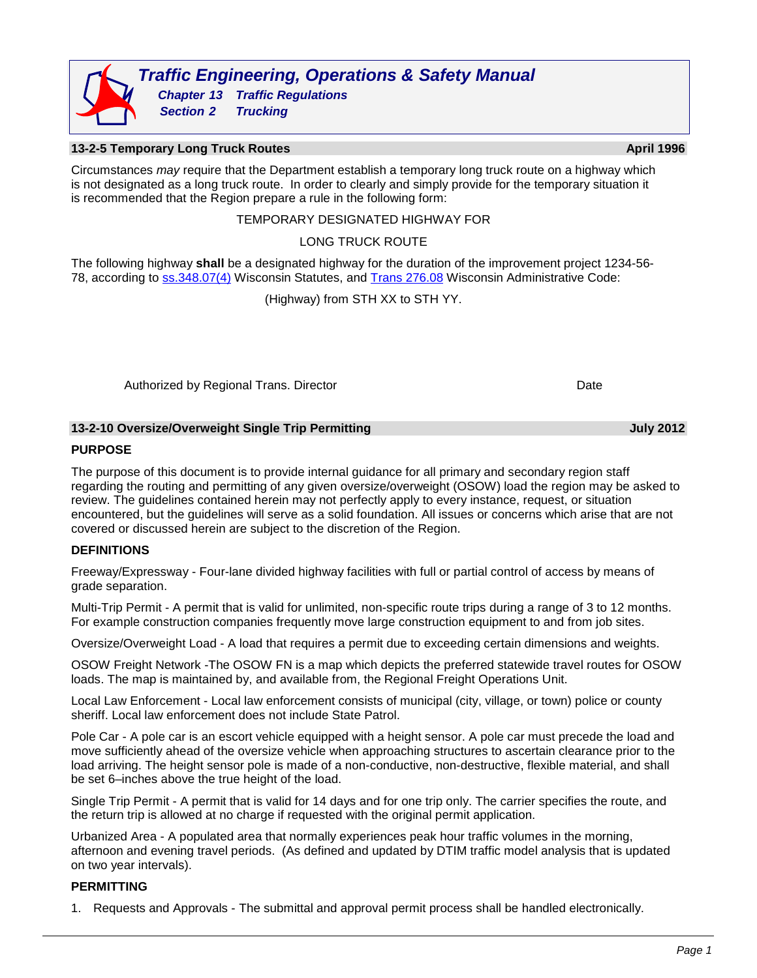

# **13-2-5 Temporary Long Truck Routes April 1996 April 1996**

Circumstances *may* require that the Department establish a temporary long truck route on a highway which is not designated as a long truck route. In order to clearly and simply provide for the temporary situation it is recommended that the Region prepare a rule in the following form:

#### TEMPORARY DESIGNATED HIGHWAY FOR

### LONG TRUCK ROUTE

The following highway **shall** be a designated highway for the duration of the improvement project 1234-56- 78, according to [ss.348.07\(4\)](http://docs.legis.wisconsin.gov/statutes/statutes/348/II/07#/statutes/statutes/348/_13) Wisconsin Statutes, and [Trans 276.08](https://docs.legis.wisconsin.gov/code/archive/2007/618b/remove/trans276) Wisconsin Administrative Code:

(Highway) from STH XX to STH YY.

Authorized by Regional Trans. Director **Date** Date Date Date

#### **13-2-10 Oversize/Overweight Single Trip Permitting July 2012**

#### **PURPOSE**

The purpose of this document is to provide internal guidance for all primary and secondary region staff regarding the routing and permitting of any given oversize/overweight (OSOW) load the region may be asked to review. The guidelines contained herein may not perfectly apply to every instance, request, or situation encountered, but the guidelines will serve as a solid foundation. All issues or concerns which arise that are not covered or discussed herein are subject to the discretion of the Region.

#### **DEFINITIONS**

Freeway/Expressway - Four-lane divided highway facilities with full or partial control of access by means of grade separation.

Multi-Trip Permit - A permit that is valid for unlimited, non-specific route trips during a range of 3 to 12 months. For example construction companies frequently move large construction equipment to and from job sites.

Oversize/Overweight Load - A load that requires a permit due to exceeding certain dimensions and weights.

OSOW Freight Network -The OSOW FN is a map which depicts the preferred statewide travel routes for OSOW loads. The map is maintained by, and available from, the Regional Freight Operations Unit.

Local Law Enforcement - Local law enforcement consists of municipal (city, village, or town) police or county sheriff. Local law enforcement does not include State Patrol.

Pole Car - A pole car is an escort vehicle equipped with a height sensor. A pole car must precede the load and move sufficiently ahead of the oversize vehicle when approaching structures to ascertain clearance prior to the load arriving. The height sensor pole is made of a non-conductive, non-destructive, flexible material, and shall be set 6–inches above the true height of the load.

Single Trip Permit - A permit that is valid for 14 days and for one trip only. The carrier specifies the route, and the return trip is allowed at no charge if requested with the original permit application.

Urbanized Area - A populated area that normally experiences peak hour traffic volumes in the morning, afternoon and evening travel periods. (As defined and updated by DTIM traffic model analysis that is updated on two year intervals).

#### **PERMITTING**

1. Requests and Approvals - The submittal and approval permit process shall be handled electronically.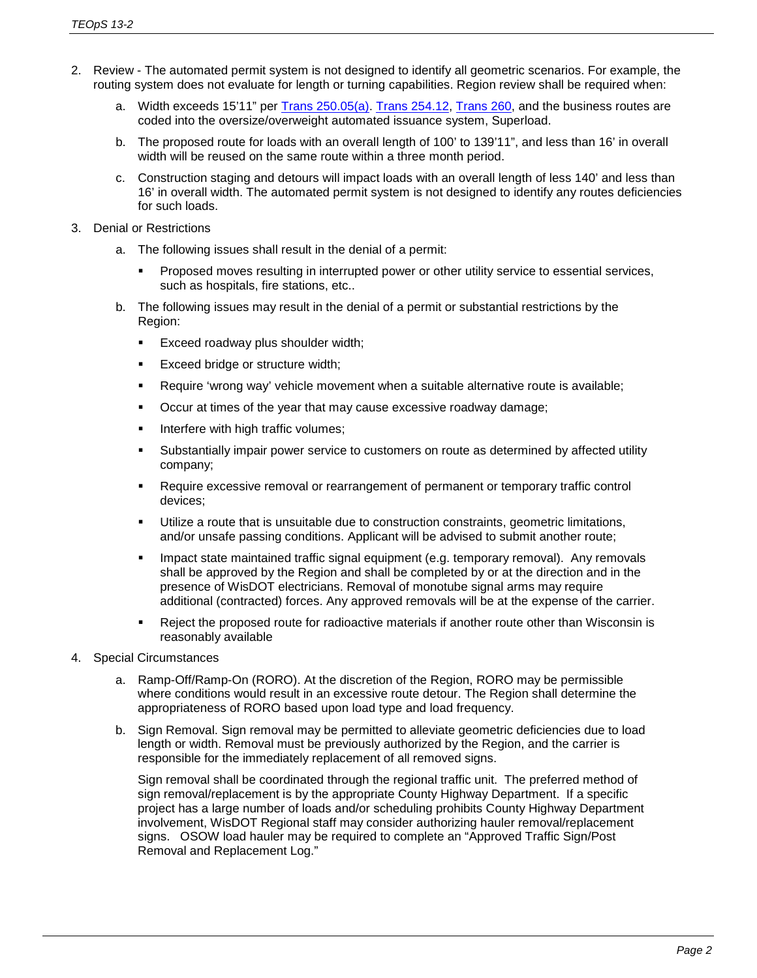- 2. Review The automated permit system is not designed to identify all geometric scenarios. For example, the routing system does not evaluate for length or turning capabilities. Region review shall be required when:
	- a. Width exceeds 15'11" per [Trans 250.05\(a\).](http://docs.legis.wi.gov/code/admin_code/trans/250/05) [Trans 254.12,](http://docs.legis.wi.gov/code/admin_code/trans/254/12) [Trans 260,](http://docs.legis.wi.gov/code/admin_code/trans/260/Title) and the business routes are coded into the oversize/overweight automated issuance system, Superload.
	- b. The proposed route for loads with an overall length of 100' to 139'11", and less than 16' in overall width will be reused on the same route within a three month period.
	- c. Construction staging and detours will impact loads with an overall length of less 140' and less than 16' in overall width. The automated permit system is not designed to identify any routes deficiencies for such loads.
- 3. Denial or Restrictions
	- a. The following issues shall result in the denial of a permit:
		- **Proposed moves resulting in interrupted power or other utility service to essential services,** such as hospitals, fire stations, etc..
	- b. The following issues may result in the denial of a permit or substantial restrictions by the Region:
		- **Exceed roadway plus shoulder width;**
		- **Exceed bridge or structure width;**
		- Require 'wrong way' vehicle movement when a suitable alternative route is available;
		- Occur at times of the year that may cause excessive roadway damage;
		- **Interfere with high traffic volumes;**
		- Substantially impair power service to customers on route as determined by affected utility company;
		- Require excessive removal or rearrangement of permanent or temporary traffic control devices;
		- Utilize a route that is unsuitable due to construction constraints, geometric limitations, and/or unsafe passing conditions. Applicant will be advised to submit another route;
		- Impact state maintained traffic signal equipment (e.g. temporary removal). Any removals shall be approved by the Region and shall be completed by or at the direction and in the presence of WisDOT electricians. Removal of monotube signal arms may require additional (contracted) forces. Any approved removals will be at the expense of the carrier.
		- Reject the proposed route for radioactive materials if another route other than Wisconsin is reasonably available
- 4. Special Circumstances
	- a. Ramp-Off/Ramp-On (RORO). At the discretion of the Region, RORO may be permissible where conditions would result in an excessive route detour. The Region shall determine the appropriateness of RORO based upon load type and load frequency.
	- b. Sign Removal. Sign removal may be permitted to alleviate geometric deficiencies due to load length or width. Removal must be previously authorized by the Region, and the carrier is responsible for the immediately replacement of all removed signs.

Sign removal shall be coordinated through the regional traffic unit. The preferred method of sign removal/replacement is by the appropriate County Highway Department. If a specific project has a large number of loads and/or scheduling prohibits County Highway Department involvement, WisDOT Regional staff may consider authorizing hauler removal/replacement signs. OSOW load hauler may be required to complete an "Approved Traffic Sign/Post Removal and Replacement Log."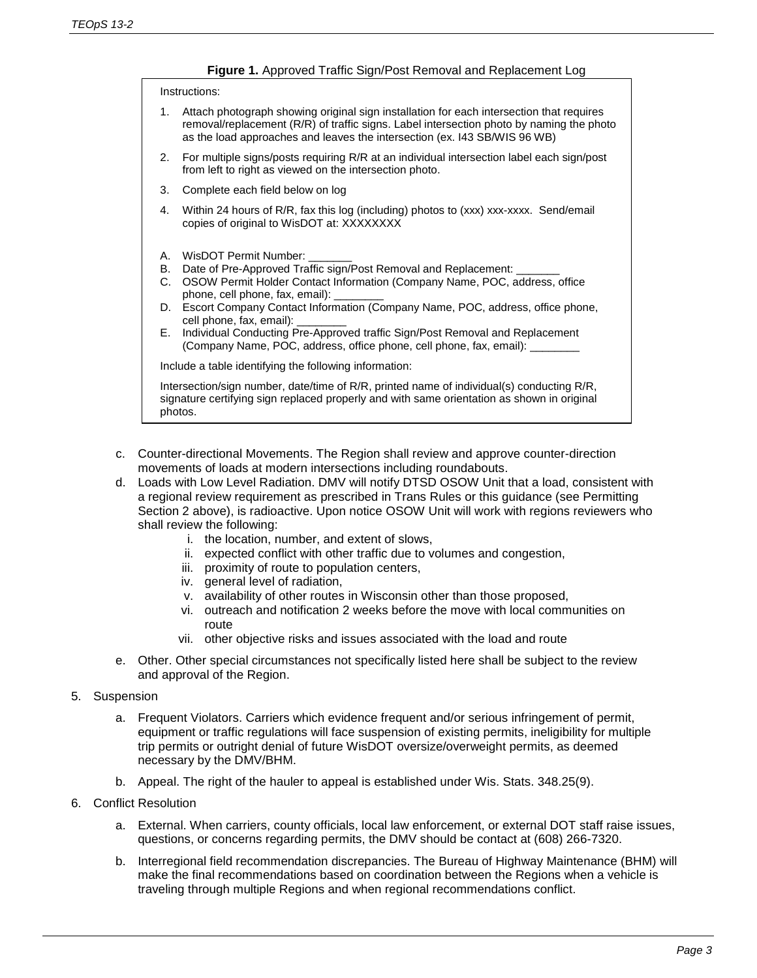|                                                                                                                                                                                                    | <b>Figure 1.</b> Approved Traffic Sign/Post Removal and Replacement Log                                                                                                                                                                                                                                                                                                                                                                                                                     |  |  |  |  |  |  |
|----------------------------------------------------------------------------------------------------------------------------------------------------------------------------------------------------|---------------------------------------------------------------------------------------------------------------------------------------------------------------------------------------------------------------------------------------------------------------------------------------------------------------------------------------------------------------------------------------------------------------------------------------------------------------------------------------------|--|--|--|--|--|--|
| Instructions:                                                                                                                                                                                      |                                                                                                                                                                                                                                                                                                                                                                                                                                                                                             |  |  |  |  |  |  |
| 1.                                                                                                                                                                                                 | Attach photograph showing original sign installation for each intersection that requires<br>removal/replacement (R/R) of traffic signs. Label intersection photo by naming the photo<br>as the load approaches and leaves the intersection (ex. I43 SB/WIS 96 WB)                                                                                                                                                                                                                           |  |  |  |  |  |  |
| For multiple signs/posts requiring R/R at an individual intersection label each sign/post<br>2.<br>from left to right as viewed on the intersection photo.                                         |                                                                                                                                                                                                                                                                                                                                                                                                                                                                                             |  |  |  |  |  |  |
| 3.                                                                                                                                                                                                 | Complete each field below on log                                                                                                                                                                                                                                                                                                                                                                                                                                                            |  |  |  |  |  |  |
| 4.                                                                                                                                                                                                 | Within 24 hours of R/R, fax this log (including) photos to (xxx) xxx-xxxx. Send/email<br>copies of original to WisDOT at: XXXXXXXX                                                                                                                                                                                                                                                                                                                                                          |  |  |  |  |  |  |
| А.<br>В.<br>C.<br>D.<br>Е.                                                                                                                                                                         | WisDOT Permit Number:<br>Date of Pre-Approved Traffic sign/Post Removal and Replacement: _____<br>OSOW Permit Holder Contact Information (Company Name, POC, address, office<br>phone, cell phone, fax, email):<br>Escort Company Contact Information (Company Name, POC, address, office phone,<br>cell phone, fax, email):<br>Individual Conducting Pre-Approved traffic Sign/Post Removal and Replacement<br>(Company Name, POC, address, office phone, cell phone, fax, email): _______ |  |  |  |  |  |  |
| Include a table identifying the following information:                                                                                                                                             |                                                                                                                                                                                                                                                                                                                                                                                                                                                                                             |  |  |  |  |  |  |
| Intersection/sign number, date/time of R/R, printed name of individual(s) conducting R/R,<br>signature certifying sign replaced properly and with same orientation as shown in original<br>photos. |                                                                                                                                                                                                                                                                                                                                                                                                                                                                                             |  |  |  |  |  |  |
|                                                                                                                                                                                                    | ounter-directional Movements. The Region shall review and approve counter-direction                                                                                                                                                                                                                                                                                                                                                                                                         |  |  |  |  |  |  |

- c. Counter-directional Movements. The Region shall review and approve counter-direction movements of loads at modern intersections including roundabouts.
- d. Loads with Low Level Radiation. DMV will notify DTSD OSOW Unit that a load, consistent with a regional review requirement as prescribed in Trans Rules or this guidance (see Permitting Section 2 above), is radioactive. Upon notice OSOW Unit will work with regions reviewers who shall review the following:
	- i. the location, number, and extent of slows,
	- ii. expected conflict with other traffic due to volumes and congestion,
	- iii. proximity of route to population centers,
	- iv. general level of radiation,
	- v. availability of other routes in Wisconsin other than those proposed,
	- vi. outreach and notification 2 weeks before the move with local communities on route
	- vii. other objective risks and issues associated with the load and route
- e. Other. Other special circumstances not specifically listed here shall be subject to the review and approval of the Region.
- 5. Suspension
	- a. Frequent Violators. Carriers which evidence frequent and/or serious infringement of permit, equipment or traffic regulations will face suspension of existing permits, ineligibility for multiple trip permits or outright denial of future WisDOT oversize/overweight permits, as deemed necessary by the DMV/BHM.
	- b. Appeal. The right of the hauler to appeal is established under Wis. Stats. 348.25(9).
- 6. Conflict Resolution
	- a. External. When carriers, county officials, local law enforcement, or external DOT staff raise issues, questions, or concerns regarding permits, the DMV should be contact at (608) 266-7320.
	- b. Interregional field recommendation discrepancies. The Bureau of Highway Maintenance (BHM) will make the final recommendations based on coordination between the Regions when a vehicle is traveling through multiple Regions and when regional recommendations conflict.

# **Figure 1.** Approved Traffic Sign/Post Removal and Replacement Log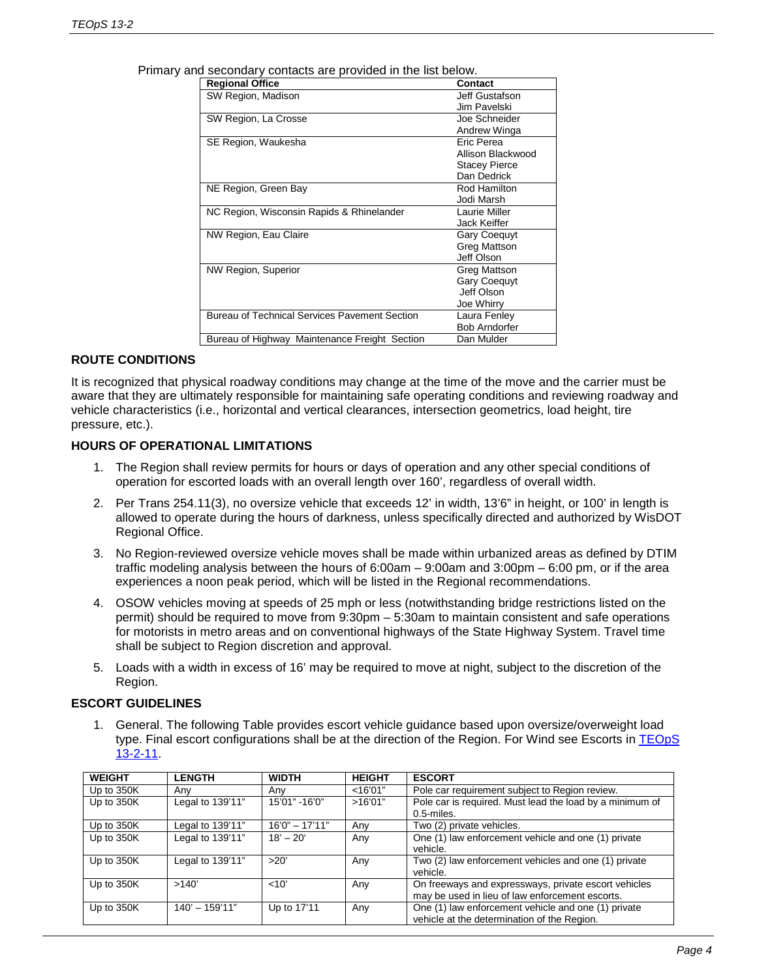| <b>Regional Office</b>                               | <b>Contact</b>       |
|------------------------------------------------------|----------------------|
| SW Region, Madison                                   | Jeff Gustafson       |
|                                                      | Jim Pavelski         |
| SW Region, La Crosse                                 | Joe Schneider        |
|                                                      | Andrew Winga         |
| SE Region, Waukesha                                  | Fric Perea           |
|                                                      | Allison Blackwood    |
|                                                      | <b>Stacey Pierce</b> |
|                                                      | Dan Dedrick          |
| NE Region, Green Bay                                 | Rod Hamilton         |
|                                                      | Jodi Marsh           |
| NC Region, Wisconsin Rapids & Rhinelander            | Laurie Miller        |
|                                                      | Jack Keiffer         |
| NW Region, Eau Claire                                | <b>Gary Coequyt</b>  |
|                                                      | Greg Mattson         |
|                                                      | Jeff Olson           |
| NW Region, Superior                                  | Greg Mattson         |
|                                                      | <b>Gary Coequyt</b>  |
|                                                      | Jeff Olson           |
|                                                      | Joe Whirry           |
| <b>Bureau of Technical Services Pavement Section</b> | Laura Fenley         |
|                                                      | <b>Bob Arndorfer</b> |
| Bureau of Highway Maintenance Freight Section        | Dan Mulder           |

Primary and secondary contacts are provided in the list below.

#### **ROUTE CONDITIONS**

It is recognized that physical roadway conditions may change at the time of the move and the carrier must be aware that they are ultimately responsible for maintaining safe operating conditions and reviewing roadway and vehicle characteristics (i.e., horizontal and vertical clearances, intersection geometrics, load height, tire pressure, etc.).

#### **HOURS OF OPERATIONAL LIMITATIONS**

- 1. The Region shall review permits for hours or days of operation and any other special conditions of operation for escorted loads with an overall length over 160', regardless of overall width.
- 2. Per Trans 254.11(3), no oversize vehicle that exceeds 12' in width, 13'6" in height, or 100' in length is allowed to operate during the hours of darkness, unless specifically directed and authorized by WisDOT Regional Office.
- 3. No Region-reviewed oversize vehicle moves shall be made within urbanized areas as defined by DTIM traffic modeling analysis between the hours of 6:00am – 9:00am and 3:00pm – 6:00 pm, or if the area experiences a noon peak period, which will be listed in the Regional recommendations.
- 4. OSOW vehicles moving at speeds of 25 mph or less (notwithstanding bridge restrictions listed on the permit) should be required to move from 9:30pm – 5:30am to maintain consistent and safe operations for motorists in metro areas and on conventional highways of the State Highway System. Travel time shall be subject to Region discretion and approval.
- 5. Loads with a width in excess of 16' may be required to move at night, subject to the discretion of the Region.

#### **ESCORT GUIDELINES**

1. General. The following Table provides escort vehicle guidance based upon oversize/overweight load type. Final escort configurations shall be at the direction of the Region. For Wind see Escorts in [TEOpS](http://wisconsindot.gov/dtsdManuals/traffic-ops/manuals-and-standards/teops/13-02.pdf) [13-2-11.](http://wisconsindot.gov/dtsdManuals/traffic-ops/manuals-and-standards/teops/13-02.pdf)

| <b>WEIGHT</b> | <b>LENGTH</b>    | <b>WIDTH</b>       | <b>HEIGHT</b> | <b>ESCORT</b>                                                                                           |
|---------------|------------------|--------------------|---------------|---------------------------------------------------------------------------------------------------------|
| Up to 350K    | Anv              | Any                | $<$ 16'01"    | Pole car requirement subject to Region review.                                                          |
| Up to 350K    | Legal to 139'11" | 15'01" -16'0"      | >16'01"       | Pole car is required. Must lead the load by a minimum of<br>0.5-miles.                                  |
| Up to 350K    | Legal to 139'11" | $16'0'' - 17'11''$ | Any           | Two (2) private vehicles.                                                                               |
| Up to 350K    | Legal to 139'11" | $18' - 20'$        | Any           | One (1) law enforcement vehicle and one (1) private<br>vehicle.                                         |
| Up to 350K    | Legal to 139'11" | >20'               | Any           | Two (2) law enforcement vehicles and one (1) private<br>vehicle.                                        |
| Up to 350K    | >140'            | < 10'              | Any           | On freeways and expressways, private escort vehicles<br>may be used in lieu of law enforcement escorts. |
| Up to 350K    | $140' - 159'11"$ | Up to 17'11        | Any           | One (1) law enforcement vehicle and one (1) private<br>vehicle at the determination of the Region.      |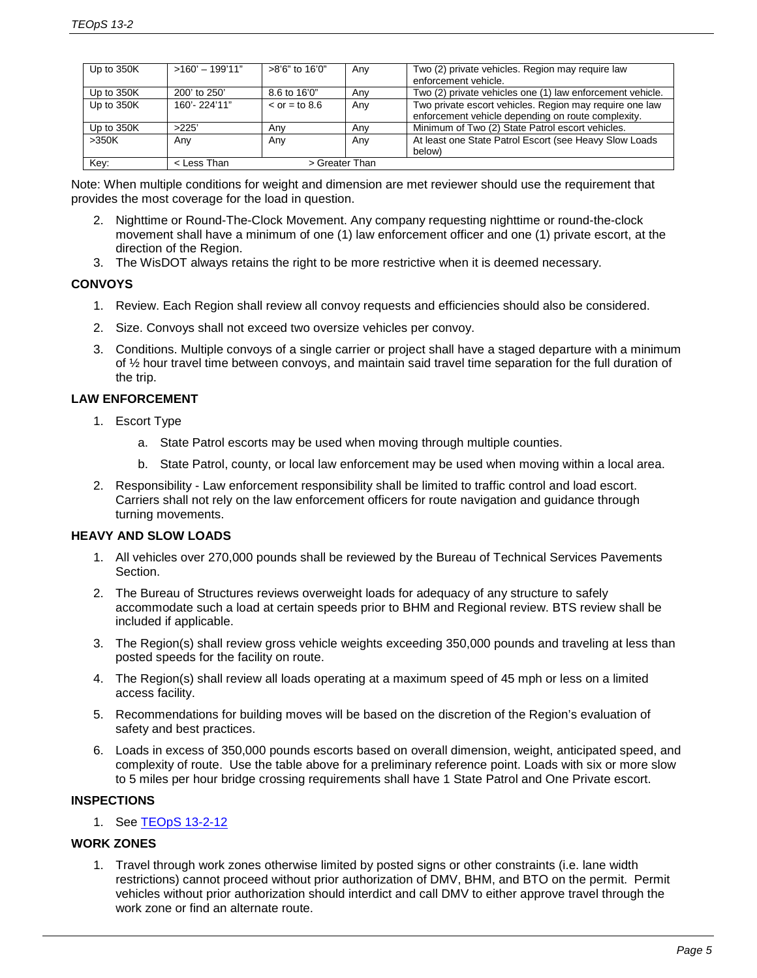| Up to 350K | $>160' - 199'11"$ | >8'6" to 16'0"         | Any | Two (2) private vehicles. Region may require law<br>enforcement vehicle.                                      |
|------------|-------------------|------------------------|-----|---------------------------------------------------------------------------------------------------------------|
| Up to 350K | 200' to 250'      | 8.6 to 16'0"           | Anv | Two (2) private vehicles one (1) law enforcement vehicle.                                                     |
| Up to 350K | 160'-224'11"      | $\epsilon$ or = to 8.6 | Any | Two private escort vehicles. Region may require one law<br>enforcement vehicle depending on route complexity. |
| Up to 350K | >225'             | Anv                    | Anv | Minimum of Two (2) State Patrol escort vehicles.                                                              |
| >350K      | Any               | Any                    | Any | At least one State Patrol Escort (see Heavy Slow Loads<br>below)                                              |
| Key:       | < Less Than       | > Greater Than         |     |                                                                                                               |

Note: When multiple conditions for weight and dimension are met reviewer should use the requirement that provides the most coverage for the load in question.

- 2. Nighttime or Round-The-Clock Movement. Any company requesting nighttime or round-the-clock movement shall have a minimum of one (1) law enforcement officer and one (1) private escort, at the direction of the Region.
- 3. The WisDOT always retains the right to be more restrictive when it is deemed necessary.

# **CONVOYS**

- 1. Review. Each Region shall review all convoy requests and efficiencies should also be considered.
- 2. Size. Convoys shall not exceed two oversize vehicles per convoy.
- 3. Conditions. Multiple convoys of a single carrier or project shall have a staged departure with a minimum of ½ hour travel time between convoys, and maintain said travel time separation for the full duration of the trip.

# **LAW ENFORCEMENT**

- 1. Escort Type
	- a. State Patrol escorts may be used when moving through multiple counties.
	- b. State Patrol, county, or local law enforcement may be used when moving within a local area.
- 2. Responsibility Law enforcement responsibility shall be limited to traffic control and load escort. Carriers shall not rely on the law enforcement officers for route navigation and guidance through turning movements.

# **HEAVY AND SLOW LOADS**

- 1. All vehicles over 270,000 pounds shall be reviewed by the Bureau of Technical Services Pavements Section.
- 2. The Bureau of Structures reviews overweight loads for adequacy of any structure to safely accommodate such a load at certain speeds prior to BHM and Regional review. BTS review shall be included if applicable.
- 3. The Region(s) shall review gross vehicle weights exceeding 350,000 pounds and traveling at less than posted speeds for the facility on route.
- 4. The Region(s) shall review all loads operating at a maximum speed of 45 mph or less on a limited access facility.
- 5. Recommendations for building moves will be based on the discretion of the Region's evaluation of safety and best practices.
- 6. Loads in excess of 350,000 pounds escorts based on overall dimension, weight, anticipated speed, and complexity of route. Use the table above for a preliminary reference point. Loads with six or more slow to 5 miles per hour bridge crossing requirements shall have 1 State Patrol and One Private escort.

# **INSPECTIONS**

1. See [TEOpS](http://wisconsindot.gov/dtsdManuals/traffic-ops/manuals-and-standards/teops/13-02.pdf) 13-2-12

# **WORK ZONES**

1. Travel through work zones otherwise limited by posted signs or other constraints (i.e. lane width restrictions) cannot proceed without prior authorization of DMV, BHM, and BTO on the permit. Permit vehicles without prior authorization should interdict and call DMV to either approve travel through the work zone or find an alternate route.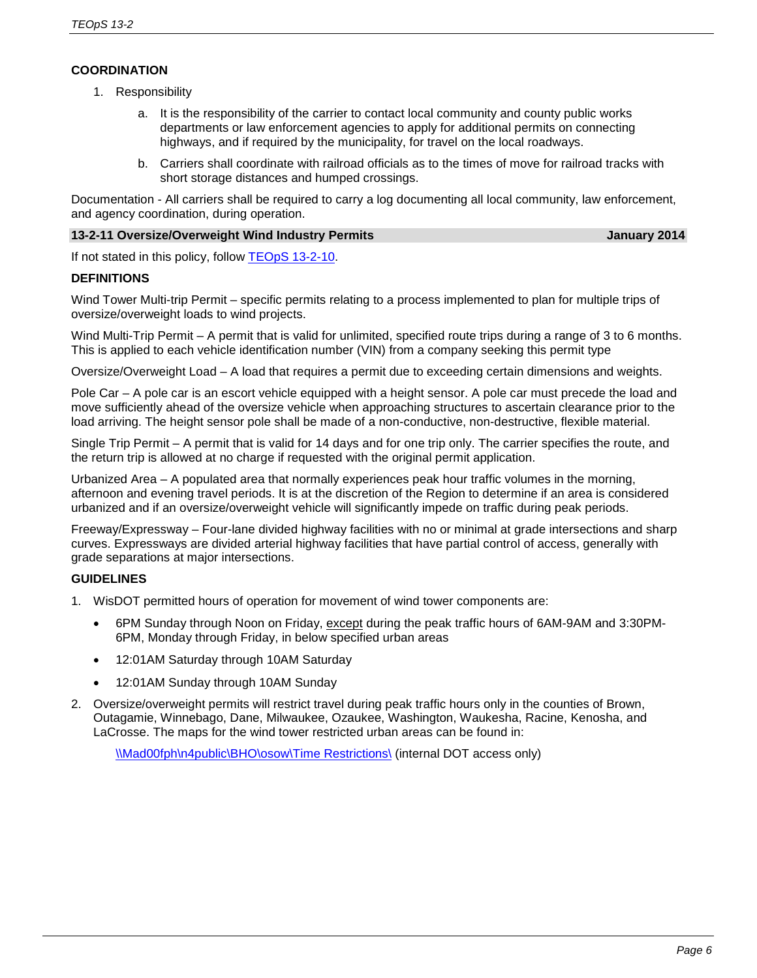# **COORDINATION**

- 1. Responsibility
	- a. It is the responsibility of the carrier to contact local community and county public works departments or law enforcement agencies to apply for additional permits on connecting highways, and if required by the municipality, for travel on the local roadways.
	- b. Carriers shall coordinate with railroad officials as to the times of move for railroad tracks with short storage distances and humped crossings.

Documentation - All carriers shall be required to carry a log documenting all local community, law enforcement, and agency coordination, during operation.

#### **13-2-11 Oversize/Overweight Wind Industry Permits January 2014**

If not stated in this policy, follow TEOpS [13-2-10.](http://wisconsindot.gov/dtsdManuals/traffic-ops/manuals-and-standards/teops/13-02.pdf)

### **DEFINITIONS**

Wind Tower Multi-trip Permit – specific permits relating to a process implemented to plan for multiple trips of oversize/overweight loads to wind projects.

Wind Multi-Trip Permit – A permit that is valid for unlimited, specified route trips during a range of 3 to 6 months. This is applied to each vehicle identification number (VIN) from a company seeking this permit type

Oversize/Overweight Load – A load that requires a permit due to exceeding certain dimensions and weights.

Pole Car – A pole car is an escort vehicle equipped with a height sensor. A pole car must precede the load and move sufficiently ahead of the oversize vehicle when approaching structures to ascertain clearance prior to the load arriving. The height sensor pole shall be made of a non-conductive, non-destructive, flexible material.

Single Trip Permit – A permit that is valid for 14 days and for one trip only. The carrier specifies the route, and the return trip is allowed at no charge if requested with the original permit application.

Urbanized Area – A populated area that normally experiences peak hour traffic volumes in the morning, afternoon and evening travel periods. It is at the discretion of the Region to determine if an area is considered urbanized and if an oversize/overweight vehicle will significantly impede on traffic during peak periods.

Freeway/Expressway – Four-lane divided highway facilities with no or minimal at grade intersections and sharp curves. Expressways are divided arterial highway facilities that have partial control of access, generally with grade separations at major intersections.

#### **GUIDELINES**

- 1. WisDOT permitted hours of operation for movement of wind tower components are:
	- 6PM Sunday through Noon on Friday, except during the peak traffic hours of 6AM-9AM and 3:30PM-6PM, Monday through Friday, in below specified urban areas
	- 12:01AM Saturday through 10AM Saturday
	- 12:01AM Sunday through 10AM Sunday
- 2. Oversize/overweight permits will restrict travel during peak traffic hours only in the counties of Brown, Outagamie, Winnebago, Dane, Milwaukee, Ozaukee, Washington, Waukesha, Racine, Kenosha, and LaCrosse. The maps for the wind tower restricted urban areas can be found in:

[\\Mad00fph\n4public\BHO\osow\Time Restrictions\](file://Mad00fph/n4public/BHO/osow/Time%20Restrictions/) (internal DOT access only)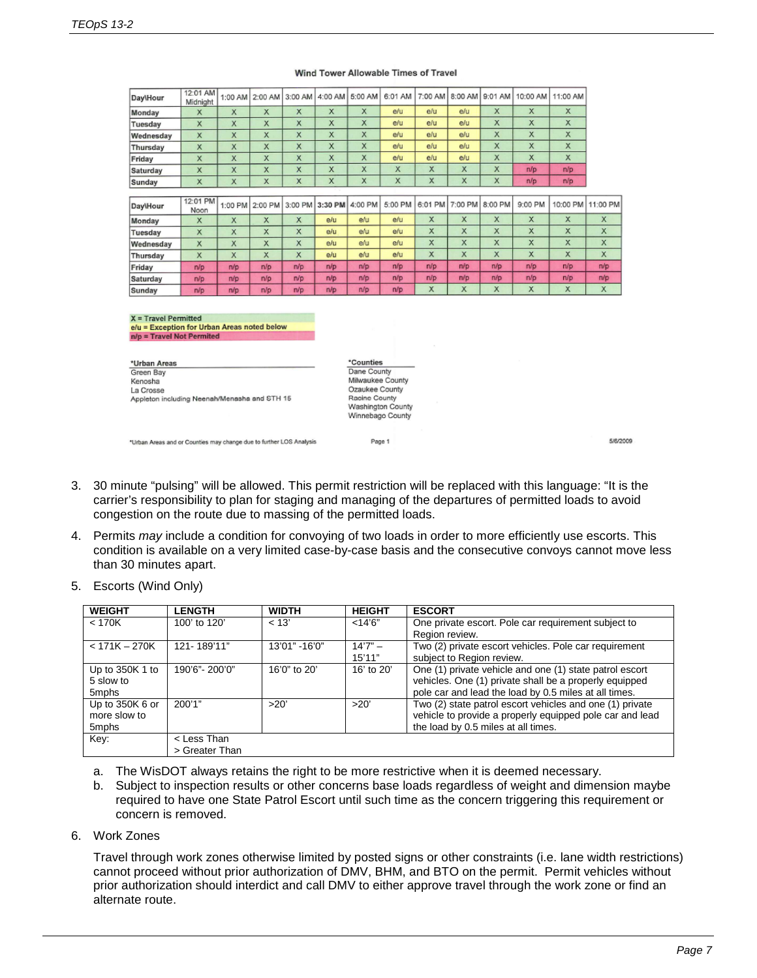| Day\Hour  | $1.61 \times 1.700$<br>Midnight | 1:00 AM      | 2:00 AM      |         | 3:00 AM   4:00 AM | 15:00 AM | 6:01 AM |              |         |         | 7:00 AM   8:00 AM   9:01 AM   10:00 AM | 11:00 AM     |          |
|-----------|---------------------------------|--------------|--------------|---------|-------------------|----------|---------|--------------|---------|---------|----------------------------------------|--------------|----------|
| Monday    | X                               | $\mathsf{x}$ | $\mathsf{x}$ | X       | x                 | X.       | e/u     | e/u          | e/u     | X       | X                                      | X            |          |
| Tuesday   | x                               | X            | X            | x       | x                 | X        | e/u     | e/u          | e/u     | X       | X                                      | X            |          |
| Wednesday | $\mathsf{x}$                    | X            | X            | x       | X                 | x        | e/u     | elu          | e/u     | x       | x                                      | X            |          |
| Thursday  | X                               | X            | X            | X       | $\mathsf{x}$      | x        | e/u     | e/u          | elu     | x       | x                                      | X            |          |
| Friday    | x                               | X            | X            | x       | x                 | x        | e/u     | e/u          | e/u     | X       | x                                      | X            |          |
| Saturday  | $\mathsf{x}$                    | X            | x            | x       | X                 | X        | X       | X            | X       | x       | n/p                                    | n/p          |          |
| Sunday    | X                               | X            | X            | x       | X                 | X        | x       | X            | x       | X       | n/p                                    | n/p          |          |
|           |                                 |              |              |         |                   |          |         |              |         |         |                                        |              |          |
| Day\Hour  | 12:01 PM<br>Noon                | 1:00 PM      | 2:00 PM      | 3:00 PM | 3:30 PM           | 4:00 PM  | 5:00 PM | 6:01 PM      | 7:00 PM | 8:00 PM | 9:00 PM                                | 10:00 PM     | 11:00 PM |
| Monday    | X                               | X            | x            | x       | e/u               | e/u      | e/u     | X            | X       | X       | X                                      | X            | X        |
| Tuesday   | $\times$                        | $\mathsf{x}$ | x            | x       | e/u               | e/u      | e/u     | $\mathsf{x}$ | X       | X       | $\mathsf{x}$                           | $\mathsf{x}$ | X        |
| Wednesday | X                               | X            | $\times$     | x       | e/u               | e/u      | e/u     | X            | X       | x       | x                                      | X            | X        |
| Thursday  | X                               | X            | x            | x       | e/u               | e/u      | e/u     | X            | X       | x       | x                                      | X            | X        |
| Friday    | n/p                             | n/p          | n/p          | n/p     | n/p               | n/p      | n/p     | n/p          | n/p     | n/p     | n/p                                    | n/p          | n/p      |
| Saturday  | n/p                             | n/p          | n/p          | n/p     | n/p               | n/p      | n/p     | n/p          | n/p     | n/p     | n/p                                    | n/p          | n/p      |
| Sunday    | n/p                             | n/p          | n/p          | n/p     | n/p               | n/p      | n/p     | X            | X       | X       | X                                      | X            | X        |

#### Wind Tower Allowable Times of Travel

 $X = Travel Permitted$ e/u = Exception for Urban Areas noted below<br>n/p = Travel Not Permited

 $40.04.431$ 

| *Urban Areas                                 |  |
|----------------------------------------------|--|
| Green Bay                                    |  |
| Kenosha                                      |  |
| La Crosse                                    |  |
| Appleton including Neenah/Menasha and STH 15 |  |

\*Counties Dane County Milwaukee County Ozaukee County Racine County Washington County Winnebago County

Page 1

\*Urban Areas and or Counties may change due to further LOS Analysis

- 3. 30 minute "pulsing" will be allowed. This permit restriction will be replaced with this language: "It is the carrier's responsibility to plan for staging and managing of the departures of permitted loads to avoid congestion on the route due to massing of the permitted loads.
- 4. Permits *may* include a condition for convoying of two loads in order to more efficiently use escorts. This condition is available on a very limited case-by-case basis and the consecutive convoys cannot move less than 30 minutes apart.

| <b>WEIGHT</b>                            | <b>LENGTH</b>                 | <b>WIDTH</b>  | <b>HEIGHT</b>       | <b>ESCORT</b>                                                                                                                                                              |
|------------------------------------------|-------------------------------|---------------|---------------------|----------------------------------------------------------------------------------------------------------------------------------------------------------------------------|
| $<$ 170K                                 | 100' to 120'                  | < 13'         | $<$ 14'6"           | One private escort. Pole car requirement subject to<br>Region review.                                                                                                      |
| $< 171K - 270K$                          | 121-189'11"                   | 13'01" -16'0" | $14'7" -$<br>15'11" | Two (2) private escort vehicles. Pole car requirement<br>subject to Region review.                                                                                         |
| Up to 350K 1 to<br>5 slow to<br>5mphs    | 190'6"-200'0"                 | 16'0" to 20'  | 16' to $20'$        | One (1) private vehicle and one (1) state patrol escort<br>vehicles. One (1) private shall be a properly equipped<br>pole car and lead the load by 0.5 miles at all times. |
| Up to 350K 6 or<br>more slow to<br>5mphs | 200'1"                        | >20'          | >20'                | Two (2) state patrol escort vehicles and one (1) private<br>vehicle to provide a properly equipped pole car and lead<br>the load by 0.5 miles at all times.                |
| Key:                                     | < Less Than<br>> Greater Than |               |                     |                                                                                                                                                                            |

5. Escorts (Wind Only)

- a. The WisDOT always retains the right to be more restrictive when it is deemed necessary.
- b. Subject to inspection results or other concerns base loads regardless of weight and dimension maybe required to have one State Patrol Escort until such time as the concern triggering this requirement or concern is removed.
- 6. Work Zones

Travel through work zones otherwise limited by posted signs or other constraints (i.e. lane width restrictions) cannot proceed without prior authorization of DMV, BHM, and BTO on the permit. Permit vehicles without prior authorization should interdict and call DMV to either approve travel through the work zone or find an alternate route.

5/6/2009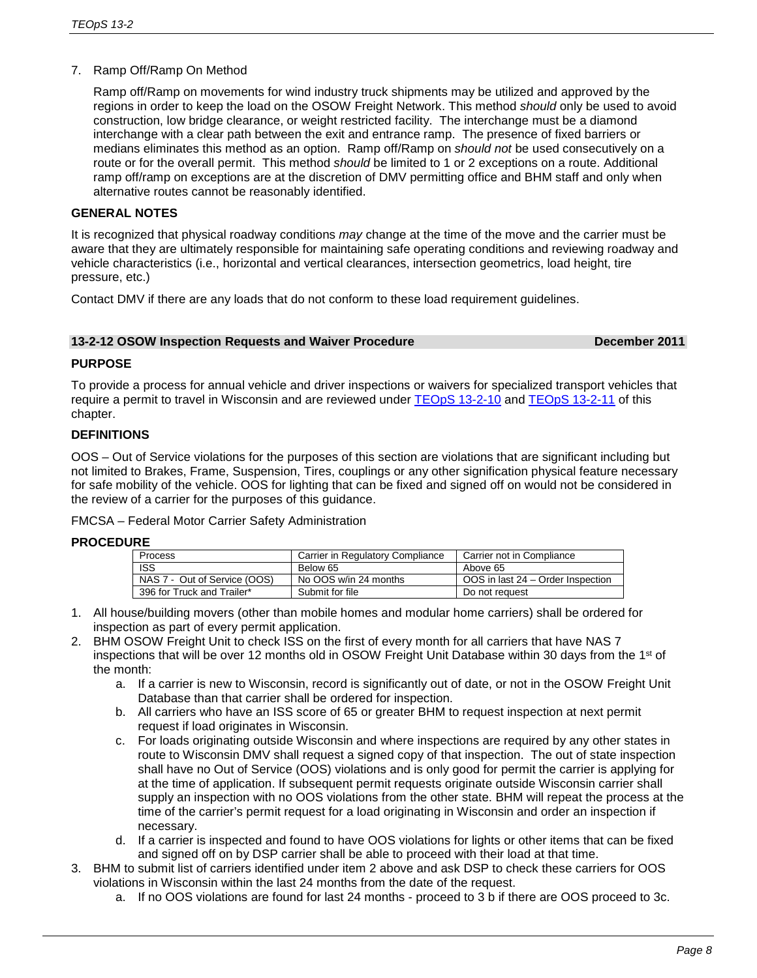# 7. Ramp Off/Ramp On Method

Ramp off/Ramp on movements for wind industry truck shipments may be utilized and approved by the regions in order to keep the load on the OSOW Freight Network. This method *should* only be used to avoid construction, low bridge clearance, or weight restricted facility. The interchange must be a diamond interchange with a clear path between the exit and entrance ramp. The presence of fixed barriers or medians eliminates this method as an option. Ramp off/Ramp on *should not* be used consecutively on a route or for the overall permit. This method *should* be limited to 1 or 2 exceptions on a route. Additional ramp off/ramp on exceptions are at the discretion of DMV permitting office and BHM staff and only when alternative routes cannot be reasonably identified.

### **GENERAL NOTES**

It is recognized that physical roadway conditions *may* change at the time of the move and the carrier must be aware that they are ultimately responsible for maintaining safe operating conditions and reviewing roadway and vehicle characteristics (i.e., horizontal and vertical clearances, intersection geometrics, load height, tire pressure, etc.)

Contact DMV if there are any loads that do not conform to these load requirement guidelines.

#### **13-2-12 OSOW Inspection Requests and Waiver Procedure December 2011**

### **PURPOSE**

To provide a process for annual vehicle and driver inspections or waivers for specialized transport vehicles that require a permit to travel in Wisconsin and are reviewed under [TEOpS](http://wisconsindot.gov/dtsdManuals/traffic-ops/manuals-and-standards/teops/13-02.pdf) 13-2-10 and [TEOpS](http://wisconsindot.gov/dtsdManuals/traffic-ops/manuals-and-standards/teops/13-02.pdf) 13-2-11 of this chapter.

# **DEFINITIONS**

OOS – Out of Service violations for the purposes of this section are violations that are significant including but not limited to Brakes, Frame, Suspension, Tires, couplings or any other signification physical feature necessary for safe mobility of the vehicle. OOS for lighting that can be fixed and signed off on would not be considered in the review of a carrier for the purposes of this guidance.

FMCSA – Federal Motor Carrier Safety Administration

#### **PROCEDURE**

| <b>Process</b>               | Carrier in Regulatory Compliance | Carrier not in Compliance         |  |  |  |  |  |
|------------------------------|----------------------------------|-----------------------------------|--|--|--|--|--|
| <b>ISS</b>                   | Below 65                         | Above 65                          |  |  |  |  |  |
| NAS 7 - Out of Service (OOS) | No OOS w/in 24 months            | OOS in last 24 – Order Inspection |  |  |  |  |  |
| 396 for Truck and Trailer*   | Submit for file                  | Do not request                    |  |  |  |  |  |

- 1. All house/building movers (other than mobile homes and modular home carriers) shall be ordered for inspection as part of every permit application.
- 2. BHM OSOW Freight Unit to check ISS on the first of every month for all carriers that have NAS 7 inspections that will be over 12 months old in OSOW Freight Unit Database within 30 days from the 1st of the month:
	- a. If a carrier is new to Wisconsin, record is significantly out of date, or not in the OSOW Freight Unit Database than that carrier shall be ordered for inspection.
	- b. All carriers who have an ISS score of 65 or greater BHM to request inspection at next permit request if load originates in Wisconsin.
	- c. For loads originating outside Wisconsin and where inspections are required by any other states in route to Wisconsin DMV shall request a signed copy of that inspection. The out of state inspection shall have no Out of Service (OOS) violations and is only good for permit the carrier is applying for at the time of application. If subsequent permit requests originate outside Wisconsin carrier shall supply an inspection with no OOS violations from the other state. BHM will repeat the process at the time of the carrier's permit request for a load originating in Wisconsin and order an inspection if necessary.
	- d. If a carrier is inspected and found to have OOS violations for lights or other items that can be fixed and signed off on by DSP carrier shall be able to proceed with their load at that time.
- 3. BHM to submit list of carriers identified under item 2 above and ask DSP to check these carriers for OOS violations in Wisconsin within the last 24 months from the date of the request.
	- a. If no OOS violations are found for last 24 months proceed to 3 b if there are OOS proceed to 3c.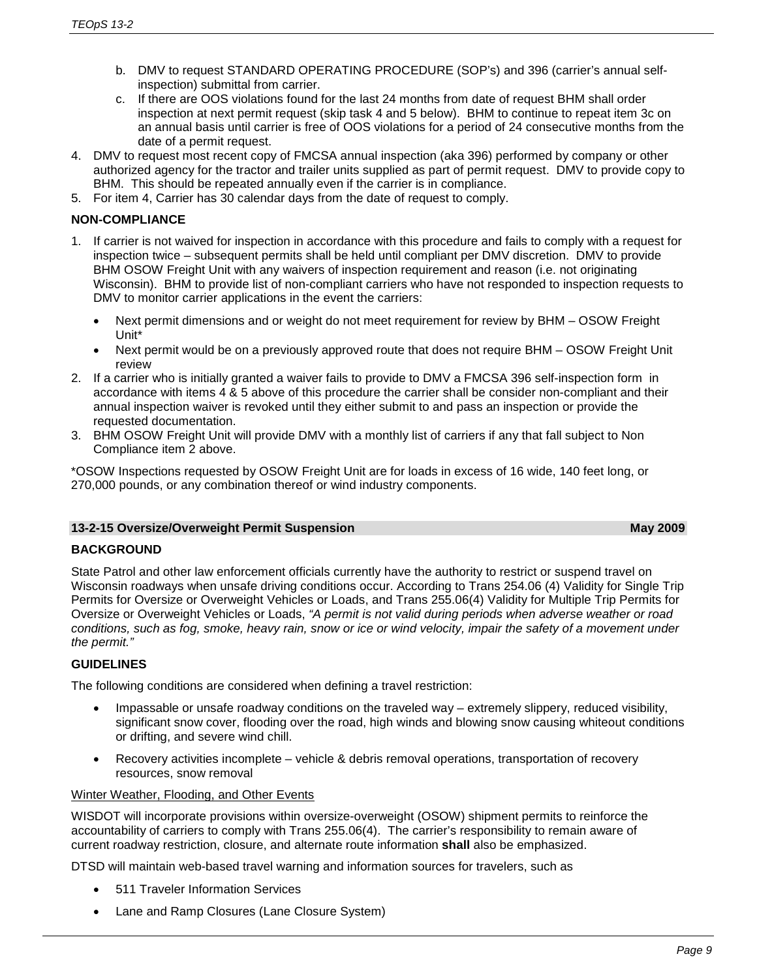- b. DMV to request STANDARD OPERATING PROCEDURE (SOP's) and 396 (carrier's annual selfinspection) submittal from carrier.
- c. If there are OOS violations found for the last 24 months from date of request BHM shall order inspection at next permit request (skip task 4 and 5 below). BHM to continue to repeat item 3c on an annual basis until carrier is free of OOS violations for a period of 24 consecutive months from the date of a permit request.
- 4. DMV to request most recent copy of FMCSA annual inspection (aka 396) performed by company or other authorized agency for the tractor and trailer units supplied as part of permit request. DMV to provide copy to BHM. This should be repeated annually even if the carrier is in compliance.
- 5. For item 4, Carrier has 30 calendar days from the date of request to comply.

# **NON-COMPLIANCE**

- 1. If carrier is not waived for inspection in accordance with this procedure and fails to comply with a request for inspection twice – subsequent permits shall be held until compliant per DMV discretion. DMV to provide BHM OSOW Freight Unit with any waivers of inspection requirement and reason (i.e. not originating Wisconsin). BHM to provide list of non-compliant carriers who have not responded to inspection requests to DMV to monitor carrier applications in the event the carriers:
	- Next permit dimensions and or weight do not meet requirement for review by BHM OSOW Freight Unit\*
	- Next permit would be on a previously approved route that does not require BHM OSOW Freight Unit review
- 2. If a carrier who is initially granted a waiver fails to provide to DMV a FMCSA 396 self-inspection form in accordance with items 4 & 5 above of this procedure the carrier shall be consider non-compliant and their annual inspection waiver is revoked until they either submit to and pass an inspection or provide the requested documentation.
- 3. BHM OSOW Freight Unit will provide DMV with a monthly list of carriers if any that fall subject to Non Compliance item 2 above.

\*OSOW Inspections requested by OSOW Freight Unit are for loads in excess of 16 wide, 140 feet long, or 270,000 pounds, or any combination thereof or wind industry components.

#### **13-2-15 Oversize/Overweight Permit Suspension May 2009**

# **BACKGROUND**

State Patrol and other law enforcement officials currently have the authority to restrict or suspend travel on Wisconsin roadways when unsafe driving conditions occur. According to Trans 254.06 (4) Validity for Single Trip Permits for Oversize or Overweight Vehicles or Loads, and Trans 255.06(4) Validity for Multiple Trip Permits for Oversize or Overweight Vehicles or Loads, *"A permit is not valid during periods when adverse weather or road conditions, such as fog, smoke, heavy rain, snow or ice or wind velocity, impair the safety of a movement under the permit."*

# **GUIDELINES**

The following conditions are considered when defining a travel restriction:

- Impassable or unsafe roadway conditions on the traveled way extremely slippery, reduced visibility, significant snow cover, flooding over the road, high winds and blowing snow causing whiteout conditions or drifting, and severe wind chill.
- Recovery activities incomplete vehicle & debris removal operations, transportation of recovery resources, snow removal

Winter Weather, Flooding, and Other Events

WISDOT will incorporate provisions within oversize-overweight (OSOW) shipment permits to reinforce the accountability of carriers to comply with Trans 255.06(4). The carrier's responsibility to remain aware of current roadway restriction, closure, and alternate route information **shall** also be emphasized.

DTSD will maintain web-based travel warning and information sources for travelers, such as

- 511 Traveler Information Services
- Lane and Ramp Closures (Lane Closure System)